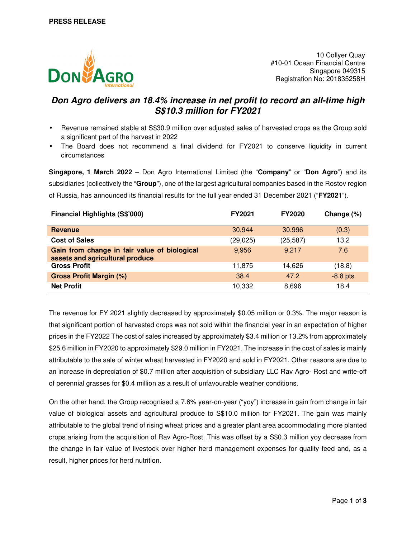

10 Collyer Quay #10-01 Ocean Financial Centre Singapore 049315 Registration No: 201835258H

# **Don Agro delivers an 18.4% increase in net profit to record an all-time high S\$10.3 million for FY2021**

- Revenue remained stable at S\$30.9 million over adjusted sales of harvested crops as the Group sold a significant part of the harvest in 2022
- The Board does not recommend a final dividend for FY2021 to conserve liquidity in current circumstances

**Singapore, 1 March 2022** – Don Agro International Limited (the "**Company**" or "**Don Agro**") and its subsidiaries (collectively the "**Group**"), one of the largest agricultural companies based in the Rostov region of Russia, has announced its financial results for the full year ended 31 December 2021 ("**FY2021**").

| <b>Financial Highlights (S\$'000)</b>                                           | <b>FY2021</b> | <b>FY2020</b> | Change (%) |
|---------------------------------------------------------------------------------|---------------|---------------|------------|
| Revenue                                                                         | 30,944        | 30,996        | (0.3)      |
| <b>Cost of Sales</b>                                                            | (29, 025)     | (25, 587)     | 13.2       |
| Gain from change in fair value of biological<br>assets and agricultural produce | 9,956         | 9.217         | 7.6        |
| <b>Gross Profit</b>                                                             | 11,875        | 14.626        | (18.8)     |
| <b>Gross Profit Margin (%)</b>                                                  | 38.4          | 47.2          | $-8.8$ pts |
| <b>Net Profit</b>                                                               | 10,332        | 8,696         | 18.4       |

The revenue for FY 2021 slightly decreased by approximately \$0.05 million or 0.3%. The major reason is that significant portion of harvested crops was not sold within the financial year in an expectation of higher prices in the FY2022 The cost of sales increased by approximately \$3.4 million or 13.2% from approximately \$25.6 million in FY2020 to approximately \$29.0 million in FY2021. The increase in the cost of sales is mainly attributable to the sale of winter wheat harvested in FY2020 and sold in FY2021. Other reasons are due to an increase in depreciation of \$0.7 million after acquisition of subsidiary LLC Rav Agro- Rost and write-off of perennial grasses for \$0.4 million as a result of unfavourable weather conditions.

On the other hand, the Group recognised a 7.6% year-on-year ("yoy") increase in gain from change in fair value of biological assets and agricultural produce to S\$10.0 million for FY2021. The gain was mainly attributable to the global trend of rising wheat prices and a greater plant area accommodating more planted crops arising from the acquisition of Rav Agro-Rost. This was offset by a S\$0.3 million yoy decrease from the change in fair value of livestock over higher herd management expenses for quality feed and, as a result, higher prices for herd nutrition.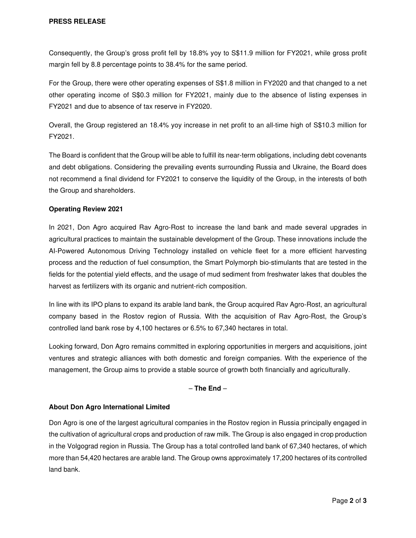Consequently, the Group's gross profit fell by 18.8% yoy to S\$11.9 million for FY2021, while gross profit margin fell by 8.8 percentage points to 38.4% for the same period.

For the Group, there were other operating expenses of S\$1.8 million in FY2020 and that changed to a net other operating income of S\$0.3 million for FY2021, mainly due to the absence of listing expenses in FY2021 and due to absence of tax reserve in FY2020.

Overall, the Group registered an 18.4% yoy increase in net profit to an all-time high of S\$10.3 million for FY2021.

The Board is confident that the Group will be able to fulfill its near-term obligations, including debt covenants and debt obligations. Considering the prevailing events surrounding Russia and Ukraine, the Board does not recommend a final dividend for FY2021 to conserve the liquidity of the Group, in the interests of both the Group and shareholders.

### **Operating Review 2021**

In 2021, Don Agro acquired Rav Agro-Rost to increase the land bank and made several upgrades in agricultural practices to maintain the sustainable development of the Group. These innovations include the AI-Powered Autonomous Driving Technology installed on vehicle fleet for a more efficient harvesting process and the reduction of fuel consumption, the Smart Polymorph bio-stimulants that are tested in the fields for the potential yield effects, and the usage of mud sediment from freshwater lakes that doubles the harvest as fertilizers with its organic and nutrient-rich composition.

In line with its IPO plans to expand its arable land bank, the Group acquired Rav Agro-Rost, an agricultural company based in the Rostov region of Russia. With the acquisition of Rav Agro-Rost, the Group's controlled land bank rose by 4,100 hectares or 6.5% to 67,340 hectares in total.

Looking forward, Don Agro remains committed in exploring opportunities in mergers and acquisitions, joint ventures and strategic alliances with both domestic and foreign companies. With the experience of the management, the Group aims to provide a stable source of growth both financially and agriculturally.

## – **The End** –

#### **About Don Agro International Limited**

Don Agro is one of the largest agricultural companies in the Rostov region in Russia principally engaged in the cultivation of agricultural crops and production of raw milk. The Group is also engaged in crop production in the Volgograd region in Russia. The Group has a total controlled land bank of 67,340 hectares, of which more than 54,420 hectares are arable land. The Group owns approximately 17,200 hectares of its controlled land bank.